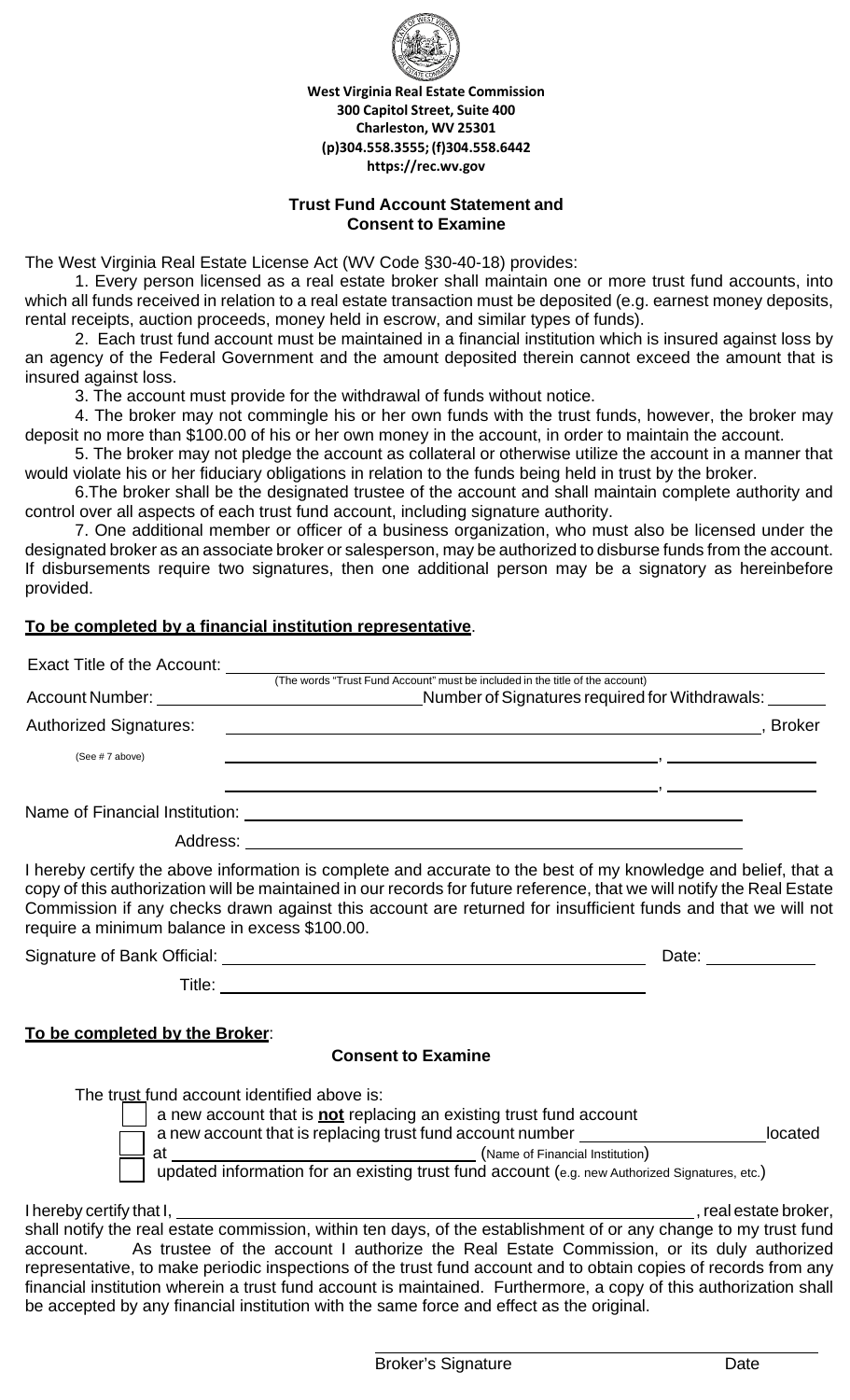

**West Virginia Real Estate Commission 300 Capitol Street, Suite 400 Charleston, WV 25301 (p)304.558.3555;(f)304.558.6442 https://rec.wv.gov**

### **Trust Fund Account Statement and Consent to Examine**

The West Virginia Real Estate License Act (WV Code §30-40-18) provides:

1. Every person licensed as a real estate broker shall maintain one or more trust fund accounts, into which all funds received in relation to a real estate transaction must be deposited (e.g. earnest money deposits, rental receipts, auction proceeds, money held in escrow, and similar types of funds).

2. Each trust fund account must be maintained in a financial institution which is insured against loss by an agency of the Federal Government and the amount deposited therein cannot exceed the amount that is insured against loss.

3. The account must provide for the withdrawal of funds without notice.

4. The broker may not commingle his or her own funds with the trust funds, however, the broker may deposit no more than \$100.00 of his or her own money in the account, in order to maintain the account.

5. The broker may not pledge the account as collateral or otherwise utilize the account in a manner that would violate his or her fiduciary obligations in relation to the funds being held in trust by the broker.

6.The broker shall be the designated trustee of the account and shall maintain complete authority and control over all aspects of each trust fund account, including signature authority.

7. One additional member or officer of a business organization, who must also be licensed under the designated broker as an associate broker or salesperson, may be authorized to disburse funds from the account. If disbursements require two signatures, then one additional person may be a signatory as hereinbefore provided.

# **To be completed by a financial institution representative**.

| Exact Title of the Account:                   |                                                                                                                                                                                                                                                                                                                                                          |
|-----------------------------------------------|----------------------------------------------------------------------------------------------------------------------------------------------------------------------------------------------------------------------------------------------------------------------------------------------------------------------------------------------------------|
|                                               | (The words "Trust Fund Account" must be included in the title of the account)                                                                                                                                                                                                                                                                            |
| <b>Account Number:</b>                        | Number of Signatures required for Withdrawals:                                                                                                                                                                                                                                                                                                           |
| <b>Authorized Signatures:</b>                 | <b>Broker</b>                                                                                                                                                                                                                                                                                                                                            |
| (See #7 above)                                |                                                                                                                                                                                                                                                                                                                                                          |
| Name of Financial Institution:                |                                                                                                                                                                                                                                                                                                                                                          |
|                                               | Address: Andreas Address and Address and American Address and American American Address and America and America                                                                                                                                                                                                                                          |
| require a minimum balance in excess \$100.00. | I hereby certify the above information is complete and accurate to the best of my knowledge and belief, that a<br>copy of this authorization will be maintained in our records for future reference, that we will notify the Real Estate<br>Commission if any checks drawn against this account are returned for insufficient funds and that we will not |

Signature of Bank Official: Date:

**To be completed by the Broker**:

# **Consent to Examine**

Title: **The Community of the Community of the Community of the Community of the Community of the Community of the Community of the Community of the Community of the Community of the Community of the Community of the Commun** 

The trust fund account identified above is:

\_\_ a new account that is **not** replacing an existing trust fund account a new account that is replacing trust fund account number **located** located at (Name of Financial Institution) updated information for an existing trust fund account (e.g. new Authorized Signatures, etc.)

I hereby certify that I, , real estate broker,

shall notify the real estate commission, within ten days, of the establishment of or any change to my trust fund account. As trustee of the account I authorize the Real Estate Commission, or its duly authorized representative, to make periodic inspections of the trust fund account and to obtain copies of records from any financial institution wherein a trust fund account is maintained. Furthermore, a copy of this authorization shall be accepted by any financial institution with the same force and effect as the original.